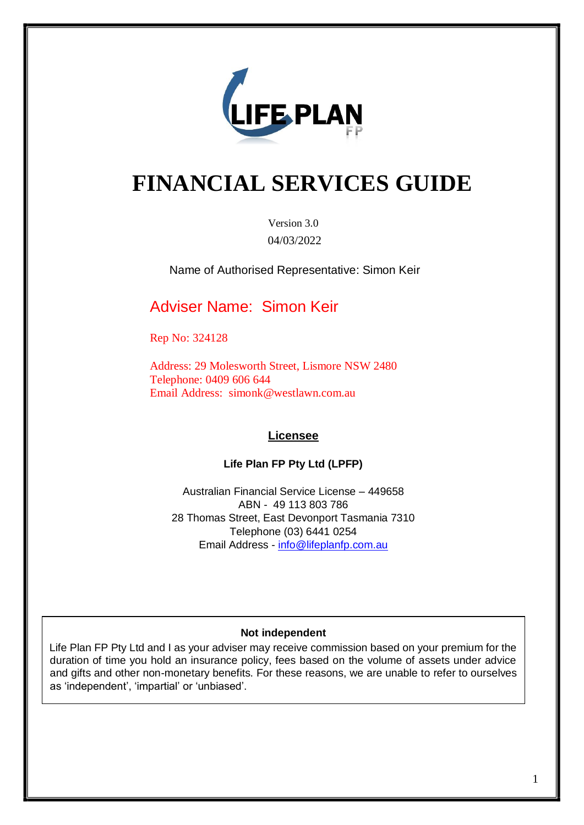

# **FINANCIAL SERVICES GUIDE**

Version 3.0 04/03/2022

Name of Authorised Representative: Simon Keir

### Adviser Name: Simon Keir

Rep No: 324128

Address: 29 Molesworth Street, Lismore NSW 2480 Telephone: 0409 606 644 Email Address[:](http://www.uniqueinsurancegroup.com.au/) simonk@westlawn.com.au

#### **Licensee**

#### **Life Plan FP Pty Ltd (LPFP)**

Australian Financial Service License – 449658 ABN - 49 113 803 786 28 Thomas Street, East Devonport Tasmania 7310 Telephone (03) 6441 0254 Email Address - info@lifeplanfp.com.au

#### **Not independent**

Life Plan FP Pty Ltd and I as your adviser may receive commission based on your premium for the duration of time you hold an insurance policy, fees based on the volume of assets under advice and gifts and other non-monetary benefits. For these reasons, we are unable to refer to ourselves as 'independent', 'impartial' or 'unbiased'.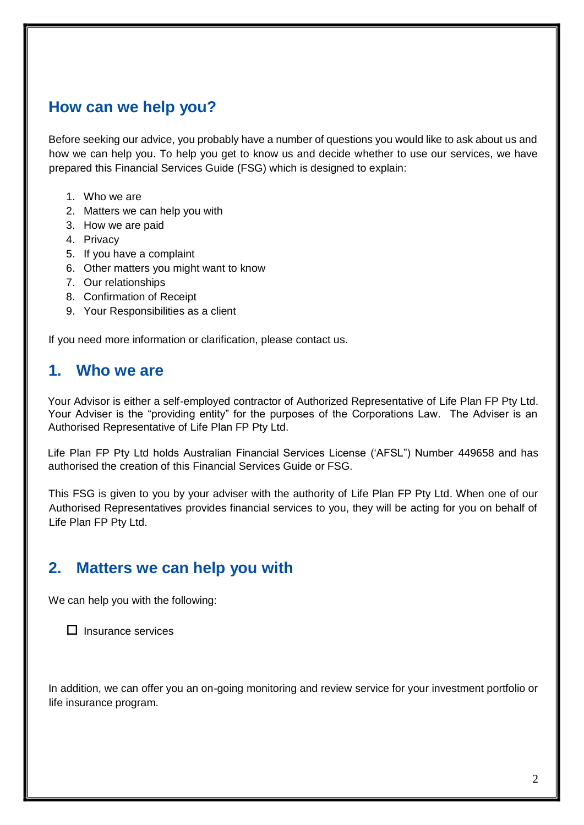### **How can we help you?**

Before seeking our advice, you probably have a number of questions you would like to ask about us and how we can help you. To help you get to know us and decide whether to use our services, we have prepared this Financial Services Guide (FSG) which is designed to explain:

- 1. Who we are
- 2. Matters we can help you with
- 3. How we are paid
- 4. Privacy
- 5. If you have a complaint
- 6. Other matters you might want to know
- 7. Our relationships
- 8. Confirmation of Receipt
- 9. Your Responsibilities as a client

If you need more information or clarification, please contact us.

#### **1. Who we are**

Your Advisor is either a self-employed contractor of Authorized Representative of Life Plan FP Pty Ltd. Your Adviser is the "providing entity" for the purposes of the Corporations Law. The Adviser is an Authorised Representative of Life Plan FP Pty Ltd.

Life Plan FP Pty Ltd holds Australian Financial Services License ('AFSL") Number 449658 and has authorised the creation of this Financial Services Guide or FSG.

This FSG is given to you by your adviser with the authority of Life Plan FP Pty Ltd. When one of our Authorised Representatives provides financial services to you, they will be acting for you on behalf of Life Plan FP Pty Ltd.

### **2. Matters we can help you with**

We can help you with the following:

 $\Box$  Insurance services

In addition, we can offer you an on-going monitoring and review service for your investment portfolio or life insurance program.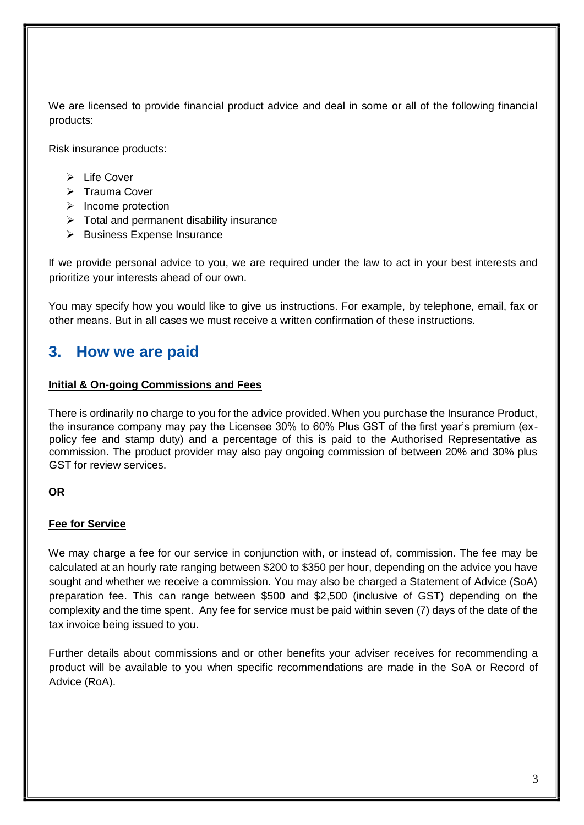We are licensed to provide financial product advice and deal in some or all of the following financial products:

Risk insurance products:

- $\triangleright$  Life Cover
- $\triangleright$  Trauma Cover
- $\triangleright$  Income protection
- $\triangleright$  Total and permanent disability insurance
- $\triangleright$  Business Expense Insurance

If we provide personal advice to you, we are required under the law to act in your best interests and prioritize your interests ahead of our own.

You may specify how you would like to give us instructions. For example, by telephone, email, fax or other means. But in all cases we must receive a written confirmation of these instructions.

#### **3. How we are paid**

#### **Initial & On-going Commissions and Fees**

There is ordinarily no charge to you for the advice provided. When you purchase the Insurance Product, the insurance company may pay the Licensee 30% to 60% Plus GST of the first year's premium (expolicy fee and stamp duty) and a percentage of this is paid to the Authorised Representative as commission. The product provider may also pay ongoing commission of between 20% and 30% plus GST for review services.

#### **OR**

#### **Fee for Service**

We may charge a fee for our service in conjunction with, or instead of, commission. The fee may be calculated at an hourly rate ranging between \$200 to \$350 per hour, depending on the advice you have sought and whether we receive a commission. You may also be charged a Statement of Advice (SoA) preparation fee. This can range between \$500 and \$2,500 (inclusive of GST) depending on the complexity and the time spent. Any fee for service must be paid within seven (7) days of the date of the tax invoice being issued to you.

Further details about commissions and or other benefits your adviser receives for recommending a product will be available to you when specific recommendations are made in the SoA or Record of Advice (RoA).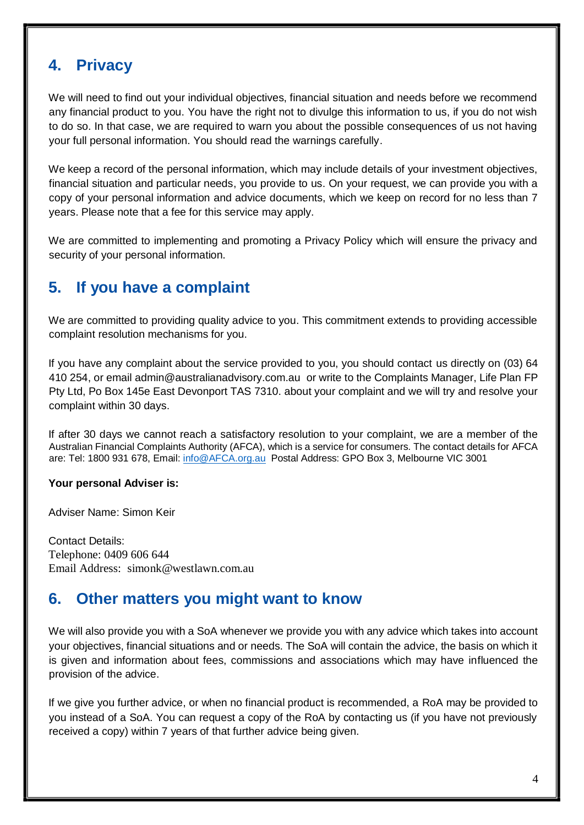### **4. Privacy**

We will need to find out your individual objectives, financial situation and needs before we recommend any financial product to you. You have the right not to divulge this information to us, if you do not wish to do so. In that case, we are required to warn you about the possible consequences of us not having your full personal information. You should read the warnings carefully.

We keep a record of the personal information, which may include details of your investment objectives, financial situation and particular needs, you provide to us. On your request, we can provide you with a copy of your personal information and advice documents, which we keep on record for no less than 7 years. Please note that a fee for this service may apply.

We are committed to implementing and promoting a Privacy Policy which will ensure the privacy and security of your personal information.

### **5. If you have a complaint**

We are committed to providing quality advice to you. This commitment extends to providing accessible complaint resolution mechanisms for you.

If you have any complaint about the service provided to you, you should contact us directly on (03) 64 410 254, or email admin@australianadvisory.com.au or write to the Complaints Manager, Life Plan FP Pty Ltd, Po Box 145e East Devonport TAS 7310. about your complaint and we will try and resolve your complaint within 30 days.

If after 30 days we cannot reach a satisfactory resolution to your complaint, we are a member of the Australian Financial Complaints Authority (AFCA), which is a service for consumers. The contact details for AFCA are: Tel: 1800 931 678, Email[: info@AFCA.org.au](mailto:info@AFCA.org.au) Postal Address: GPO Box 3, Melbourne VIC 3001

#### **Your personal Adviser is:**

Adviser Name: Simon Keir

Contact Details: Telephone: 0409 606 644 Email Address[:](http://www.uniqueinsurancegroup.com.au/) simonk@westlawn.com.au

#### **6. Other matters you might want to know**

We will also provide you with a SoA whenever we provide you with any advice which takes into account your objectives, financial situations and or needs. The SoA will contain the advice, the basis on which it is given and information about fees, commissions and associations which may have influenced the provision of the advice.

If we give you further advice, or when no financial product is recommended, a RoA may be provided to you instead of a SoA. You can request a copy of the RoA by contacting us (if you have not previously received a copy) within 7 years of that further advice being given.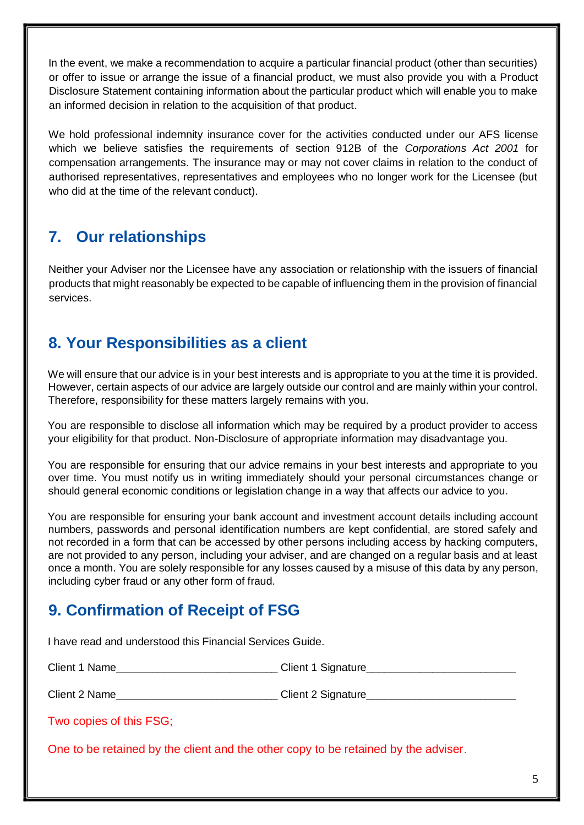In the event, we make a recommendation to acquire a particular financial product (other than securities) or offer to issue or arrange the issue of a financial product, we must also provide you with a Product Disclosure Statement containing information about the particular product which will enable you to make an informed decision in relation to the acquisition of that product.

We hold professional indemnity insurance cover for the activities conducted under our AFS license which we believe satisfies the requirements of section 912B of the *Corporations Act 2001* for compensation arrangements. The insurance may or may not cover claims in relation to the conduct of authorised representatives, representatives and employees who no longer work for the Licensee (but who did at the time of the relevant conduct).

# **7. Our relationships**

Neither your Adviser nor the Licensee have any association or relationship with the issuers of financial products that might reasonably be expected to be capable of influencing them in the provision of financial services.

## **8. Your Responsibilities as a client**

We will ensure that our advice is in your best interests and is appropriate to you at the time it is provided. However, certain aspects of our advice are largely outside our control and are mainly within your control. Therefore, responsibility for these matters largely remains with you.

You are responsible to disclose all information which may be required by a product provider to access your eligibility for that product. Non-Disclosure of appropriate information may disadvantage you.

You are responsible for ensuring that our advice remains in your best interests and appropriate to you over time. You must notify us in writing immediately should your personal circumstances change or should general economic conditions or legislation change in a way that affects our advice to you.

You are responsible for ensuring your bank account and investment account details including account numbers, passwords and personal identification numbers are kept confidential, are stored safely and not recorded in a form that can be accessed by other persons including access by hacking computers, are not provided to any person, including your adviser, and are changed on a regular basis and at least once a month. You are solely responsible for any losses caused by a misuse of this data by any person, including cyber fraud or any other form of fraud.

# **9. Confirmation of Receipt of FSG**

I have read and understood this Financial Services Guide.

| Client 1 Name | <b>Client 1 Signature</b> |
|---------------|---------------------------|
|               |                           |

Client 2 Name **Client 2 Signature** 

Two copies of this FSG;

One to be retained by the client and the other copy to be retained by the adviser.